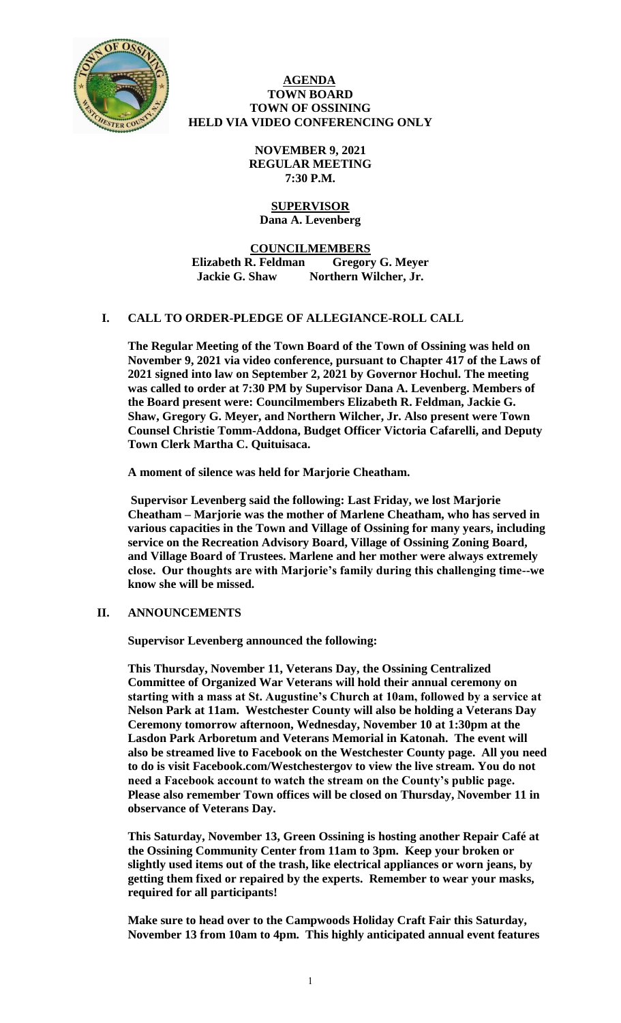

### **AGENDA TOWN BOARD TOWN OF OSSINING HELD VIA VIDEO CONFERENCING ONLY**

**NOVEMBER 9, 2021 REGULAR MEETING 7:30 P.M.**

### **SUPERVISOR Dana A. Levenberg**

**COUNCILMEMBERS Elizabeth R. Feldman Gregory G. Meyer Jackie G. Shaw Northern Wilcher, Jr.**

# **I. CALL TO ORDER-PLEDGE OF ALLEGIANCE-ROLL CALL**

**The Regular Meeting of the Town Board of the Town of Ossining was held on November 9, 2021 via video conference, pursuant to Chapter 417 of the Laws of 2021 signed into law on September 2, 2021 by Governor Hochul. The meeting was called to order at 7:30 PM by Supervisor Dana A. Levenberg. Members of the Board present were: Councilmembers Elizabeth R. Feldman, Jackie G. Shaw, Gregory G. Meyer, and Northern Wilcher, Jr. Also present were Town Counsel Christie Tomm-Addona, Budget Officer Victoria Cafarelli, and Deputy Town Clerk Martha C. Quituisaca.** 

**A moment of silence was held for Marjorie Cheatham.** 

**Supervisor Levenberg said the following: Last Friday, we lost Marjorie Cheatham – Marjorie was the mother of Marlene Cheatham, who has served in various capacities in the Town and Village of Ossining for many years, including service on the Recreation Advisory Board, Village of Ossining Zoning Board, and Village Board of Trustees. Marlene and her mother were always extremely close. Our thoughts are with Marjorie's family during this challenging time--we know she will be missed.** 

# **II. ANNOUNCEMENTS**

**Supervisor Levenberg announced the following:**

**This Thursday, November 11, Veterans Day, the Ossining Centralized Committee of Organized War Veterans will hold their annual ceremony on starting with a mass at St. Augustine's Church at 10am, followed by a service at Nelson Park at 11am. Westchester County will also be holding a Veterans Day Ceremony tomorrow afternoon, Wednesday, November 10 at 1:30pm at the Lasdon Park Arboretum and Veterans Memorial in Katonah. The event will also be streamed live to Facebook on the Westchester County page. All you need to do is visit Facebook.com/Westchestergov to view the live stream. You do not need a Facebook account to watch the stream on the County's public page. Please also remember Town offices will be closed on Thursday, November 11 in observance of Veterans Day.** 

**This Saturday, November 13, Green Ossining is hosting another Repair Café at the Ossining Community Center from 11am to 3pm. Keep your broken or slightly used items out of the trash, like electrical appliances or worn jeans, by getting them fixed or repaired by the experts. Remember to wear your masks, required for all participants!** 

**Make sure to head over to the Campwoods Holiday Craft Fair this Saturday, November 13 from 10am to 4pm. This highly anticipated annual event features**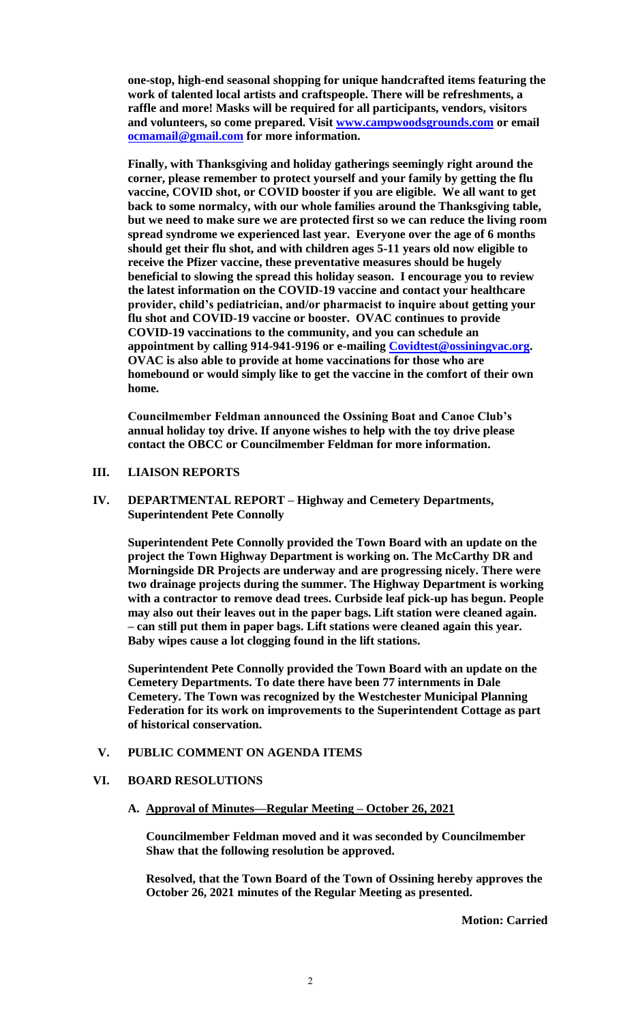**one-stop, high-end seasonal shopping for unique handcrafted items featuring the work of talented local artists and craftspeople. There will be refreshments, a raffle and more! Masks will be required for all participants, vendors, visitors and volunteers, so come prepared. Visit [www.campwoodsgrounds.com](http://www.campwoodsgrounds.com/) or email [ocmamail@gmail.com](mailto:ocmamail@gmail.com) for more information.**

**Finally, with Thanksgiving and holiday gatherings seemingly right around the corner, please remember to protect yourself and your family by getting the flu vaccine, COVID shot, or COVID booster if you are eligible. We all want to get back to some normalcy, with our whole families around the Thanksgiving table, but we need to make sure we are protected first so we can reduce the living room spread syndrome we experienced last year. Everyone over the age of 6 months should get their flu shot, and with children ages 5-11 years old now eligible to receive the Pfizer vaccine, these preventative measures should be hugely beneficial to slowing the spread this holiday season. I encourage you to review the latest information on the COVID-19 vaccine and contact your healthcare provider, child's pediatrician, and/or pharmacist to inquire about getting your flu shot and COVID-19 vaccine or booster. OVAC continues to provide COVID-19 vaccinations to the community, and you can schedule an appointment by calling 914-941-9196 or e-mailing [Covidtest@ossiningvac.org.](mailto:Covidtest@ossiningvac.org) OVAC is also able to provide at home vaccinations for those who are homebound or would simply like to get the vaccine in the comfort of their own home.** 

**Councilmember Feldman announced the Ossining Boat and Canoe Club's annual holiday toy drive. If anyone wishes to help with the toy drive please contact the OBCC or Councilmember Feldman for more information.** 

# **III. LIAISON REPORTS**

**IV. DEPARTMENTAL REPORT – Highway and Cemetery Departments, Superintendent Pete Connolly**

**Superintendent Pete Connolly provided the Town Board with an update on the project the Town Highway Department is working on. The McCarthy DR and Morningside DR Projects are underway and are progressing nicely. There were two drainage projects during the summer. The Highway Department is working with a contractor to remove dead trees. Curbside leaf pick-up has begun. People may also out their leaves out in the paper bags. Lift station were cleaned again. – can still put them in paper bags. Lift stations were cleaned again this year. Baby wipes cause a lot clogging found in the lift stations.** 

**Superintendent Pete Connolly provided the Town Board with an update on the Cemetery Departments. To date there have been 77 internments in Dale Cemetery. The Town was recognized by the Westchester Municipal Planning Federation for its work on improvements to the Superintendent Cottage as part of historical conservation.** 

### **V. PUBLIC COMMENT ON AGENDA ITEMS**

#### **VI. BOARD RESOLUTIONS**

**A. Approval of Minutes—Regular Meeting – October 26, 2021**

**Councilmember Feldman moved and it was seconded by Councilmember Shaw that the following resolution be approved.**

**Resolved, that the Town Board of the Town of Ossining hereby approves the October 26, 2021 minutes of the Regular Meeting as presented.**

**Motion: Carried**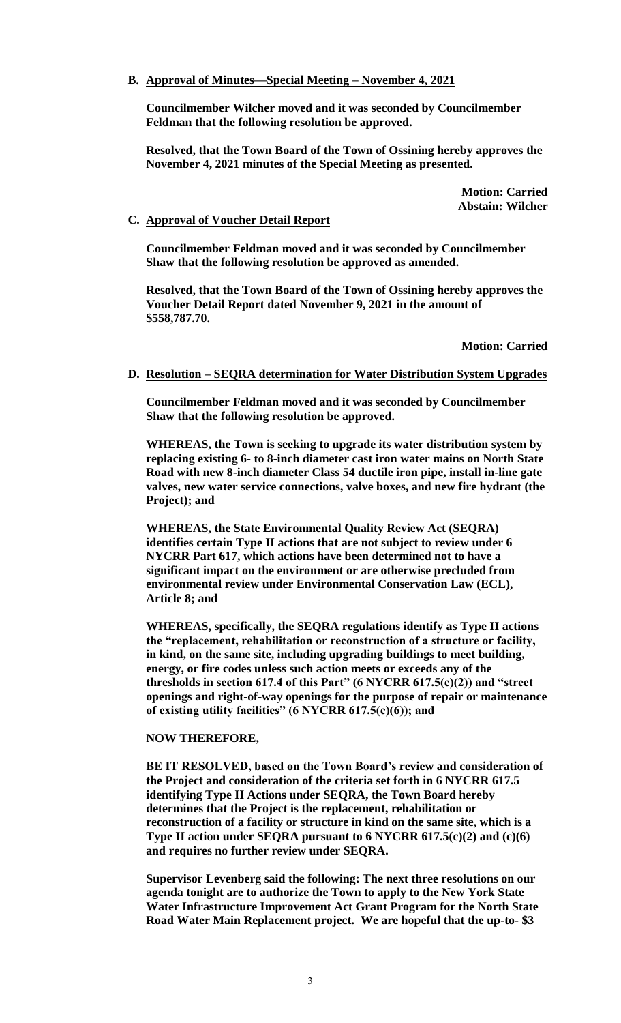# **B. Approval of Minutes—Special Meeting – November 4, 2021**

**Councilmember Wilcher moved and it was seconded by Councilmember Feldman that the following resolution be approved.**

**Resolved, that the Town Board of the Town of Ossining hereby approves the November 4, 2021 minutes of the Special Meeting as presented.**

> **Motion: Carried Abstain: Wilcher**

### **C. Approval of Voucher Detail Report**

**Councilmember Feldman moved and it was seconded by Councilmember Shaw that the following resolution be approved as amended.**

**Resolved, that the Town Board of the Town of Ossining hereby approves the Voucher Detail Report dated November 9, 2021 in the amount of \$558,787.70.** 

**Motion: Carried**

#### **D. Resolution – SEQRA determination for Water Distribution System Upgrades**

**Councilmember Feldman moved and it was seconded by Councilmember Shaw that the following resolution be approved.**

**WHEREAS, the Town is seeking to upgrade its water distribution system by replacing existing 6- to 8-inch diameter cast iron water mains on North State Road with new 8-inch diameter Class 54 ductile iron pipe, install in-line gate valves, new water service connections, valve boxes, and new fire hydrant (the Project); and**

**WHEREAS, the State Environmental Quality Review Act (SEQRA) identifies certain Type II actions that are not subject to review under 6 NYCRR Part 617, which actions have been determined not to have a significant impact on the environment or are otherwise precluded from environmental review under Environmental Conservation Law (ECL), Article 8; and**

**WHEREAS, specifically, the SEQRA regulations identify as Type II actions the "replacement, rehabilitation or reconstruction of a structure or facility, in kind, on the same site, including upgrading buildings to meet building, energy, or fire codes unless such action meets or exceeds any of the thresholds in section 617.4 of this Part" (6 NYCRR 617.5(c)(2)) and "street openings and right-of-way openings for the purpose of repair or maintenance of existing utility facilities" (6 NYCRR 617.5(c)(6)); and**

#### **NOW THEREFORE,**

**BE IT RESOLVED, based on the Town Board's review and consideration of the Project and consideration of the criteria set forth in 6 NYCRR 617.5 identifying Type II Actions under SEQRA, the Town Board hereby determines that the Project is the replacement, rehabilitation or reconstruction of a facility or structure in kind on the same site, which is a Type II action under SEQRA pursuant to 6 NYCRR 617.5(c)(2) and (c)(6) and requires no further review under SEQRA.**

**Supervisor Levenberg said the following: The next three resolutions on our agenda tonight are to authorize the Town to apply to the New York State Water Infrastructure Improvement Act Grant Program for the North State Road Water Main Replacement project. We are hopeful that the up-to- \$3**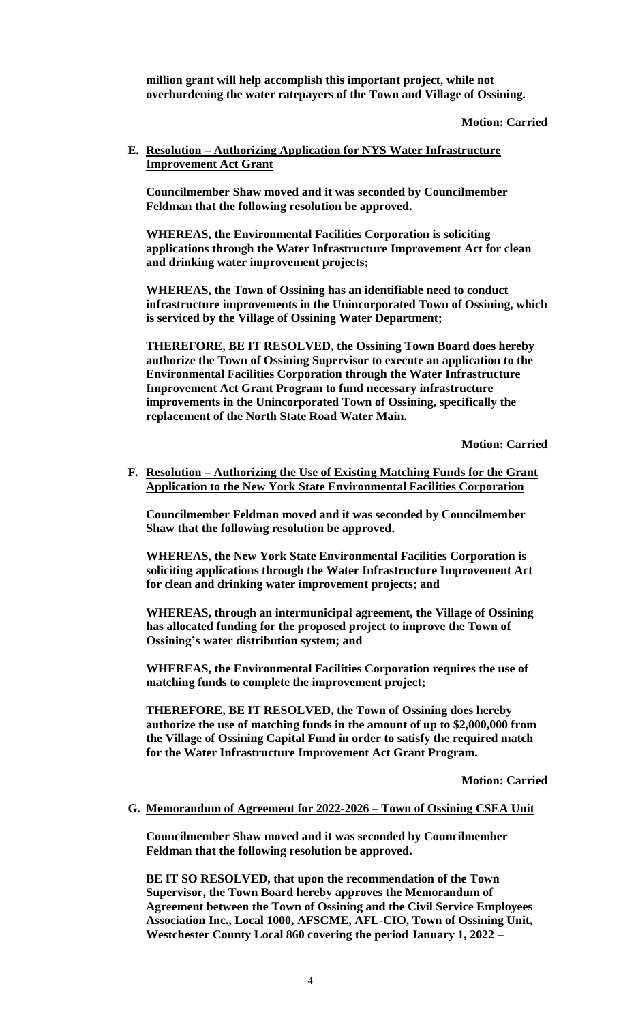**million grant will help accomplish this important project, while not overburdening the water ratepayers of the Town and Village of Ossining.**

### **Motion: Carried**

**E. Resolution – Authorizing Application for NYS Water Infrastructure Improvement Act Grant** 

**Councilmember Shaw moved and it was seconded by Councilmember Feldman that the following resolution be approved.**

**WHEREAS, the Environmental Facilities Corporation is soliciting applications through the Water Infrastructure Improvement Act for clean and drinking water improvement projects;**

**WHEREAS, the Town of Ossining has an identifiable need to conduct infrastructure improvements in the Unincorporated Town of Ossining, which is serviced by the Village of Ossining Water Department;**

**THEREFORE, BE IT RESOLVED, the Ossining Town Board does hereby authorize the Town of Ossining Supervisor to execute an application to the Environmental Facilities Corporation through the Water Infrastructure Improvement Act Grant Program to fund necessary infrastructure improvements in the Unincorporated Town of Ossining, specifically the replacement of the North State Road Water Main.**

**Motion: Carried**

**F. Resolution – Authorizing the Use of Existing Matching Funds for the Grant Application to the New York State Environmental Facilities Corporation**

**Councilmember Feldman moved and it was seconded by Councilmember Shaw that the following resolution be approved.**

**WHEREAS, the New York State Environmental Facilities Corporation is soliciting applications through the Water Infrastructure Improvement Act for clean and drinking water improvement projects; and**

**WHEREAS, through an intermunicipal agreement, the Village of Ossining has allocated funding for the proposed project to improve the Town of Ossining's water distribution system; and** 

**WHEREAS, the Environmental Facilities Corporation requires the use of matching funds to complete the improvement project;**

**THEREFORE, BE IT RESOLVED, the Town of Ossining does hereby authorize the use of matching funds in the amount of up to \$2,000,000 from the Village of Ossining Capital Fund in order to satisfy the required match for the Water Infrastructure Improvement Act Grant Program.**

**Motion: Carried**

#### **G. Memorandum of Agreement for 2022-2026 – Town of Ossining CSEA Unit**

**Councilmember Shaw moved and it was seconded by Councilmember Feldman that the following resolution be approved.**

**BE IT SO RESOLVED, that upon the recommendation of the Town Supervisor, the Town Board hereby approves the Memorandum of Agreement between the Town of Ossining and the Civil Service Employees Association Inc., Local 1000, AFSCME, AFL-CIO, Town of Ossining Unit, Westchester County Local 860 covering the period January 1, 2022 –**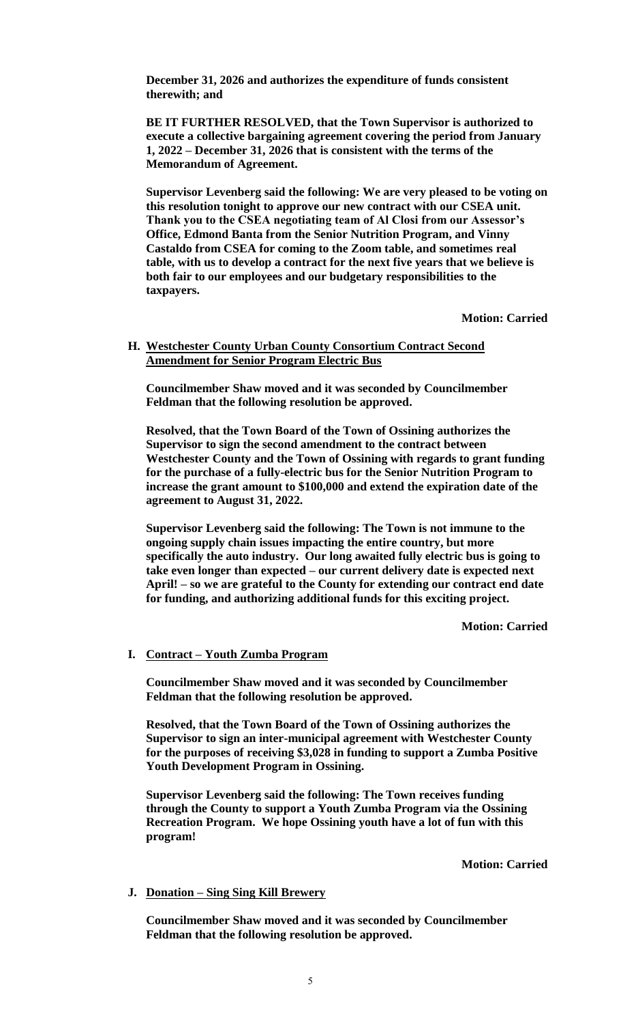**December 31, 2026 and authorizes the expenditure of funds consistent therewith; and**

**BE IT FURTHER RESOLVED, that the Town Supervisor is authorized to execute a collective bargaining agreement covering the period from January 1, 2022 – December 31, 2026 that is consistent with the terms of the Memorandum of Agreement.**

**Supervisor Levenberg said the following: We are very pleased to be voting on this resolution tonight to approve our new contract with our CSEA unit. Thank you to the CSEA negotiating team of Al Closi from our Assessor's Office, Edmond Banta from the Senior Nutrition Program, and Vinny Castaldo from CSEA for coming to the Zoom table, and sometimes real table, with us to develop a contract for the next five years that we believe is both fair to our employees and our budgetary responsibilities to the taxpayers.**

**Motion: Carried**

# **H. Westchester County Urban County Consortium Contract Second Amendment for Senior Program Electric Bus**

**Councilmember Shaw moved and it was seconded by Councilmember Feldman that the following resolution be approved.**

**Resolved, that the Town Board of the Town of Ossining authorizes the Supervisor to sign the second amendment to the contract between Westchester County and the Town of Ossining with regards to grant funding for the purchase of a fully-electric bus for the Senior Nutrition Program to increase the grant amount to \$100,000 and extend the expiration date of the agreement to August 31, 2022.**

**Supervisor Levenberg said the following: The Town is not immune to the ongoing supply chain issues impacting the entire country, but more specifically the auto industry. Our long awaited fully electric bus is going to take even longer than expected – our current delivery date is expected next April! – so we are grateful to the County for extending our contract end date for funding, and authorizing additional funds for this exciting project.** 

**Motion: Carried**

# **I. Contract – Youth Zumba Program**

**Councilmember Shaw moved and it was seconded by Councilmember Feldman that the following resolution be approved.**

**Resolved, that the Town Board of the Town of Ossining authorizes the Supervisor to sign an inter-municipal agreement with Westchester County for the purposes of receiving \$3,028 in funding to support a Zumba Positive Youth Development Program in Ossining.** 

**Supervisor Levenberg said the following: The Town receives funding through the County to support a Youth Zumba Program via the Ossining Recreation Program. We hope Ossining youth have a lot of fun with this program!** 

**Motion: Carried**

### **J. Donation – Sing Sing Kill Brewery**

**Councilmember Shaw moved and it was seconded by Councilmember Feldman that the following resolution be approved.**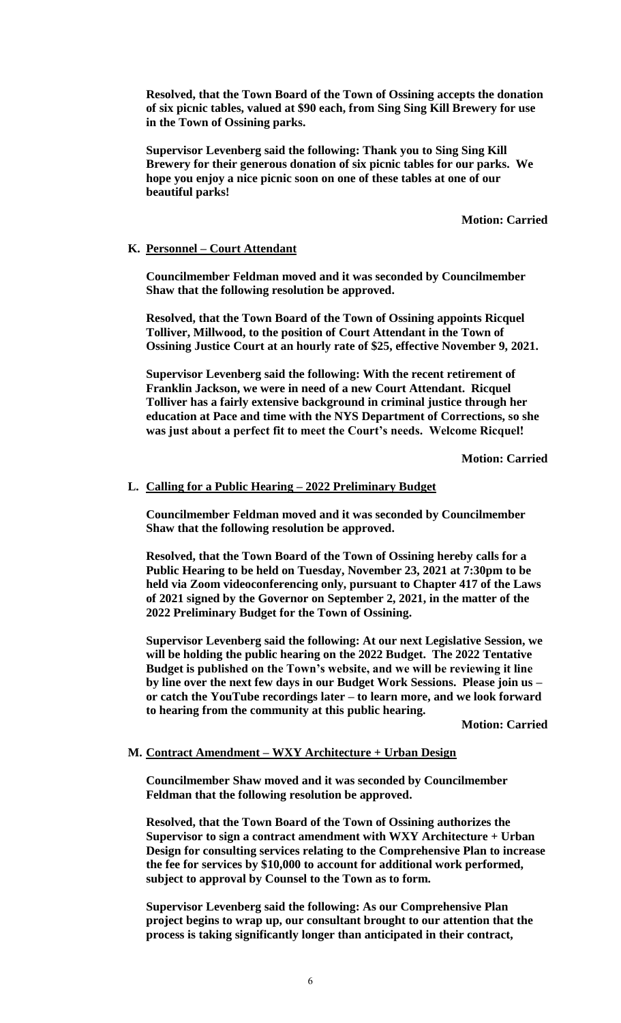**Resolved, that the Town Board of the Town of Ossining accepts the donation of six picnic tables, valued at \$90 each, from Sing Sing Kill Brewery for use in the Town of Ossining parks.** 

**Supervisor Levenberg said the following: Thank you to Sing Sing Kill Brewery for their generous donation of six picnic tables for our parks. We hope you enjoy a nice picnic soon on one of these tables at one of our beautiful parks!** 

# **Motion: Carried**

# **K. Personnel – Court Attendant**

**Councilmember Feldman moved and it was seconded by Councilmember Shaw that the following resolution be approved.**

**Resolved, that the Town Board of the Town of Ossining appoints Ricquel Tolliver, Millwood, to the position of Court Attendant in the Town of Ossining Justice Court at an hourly rate of \$25, effective November 9, 2021.** 

**Supervisor Levenberg said the following: With the recent retirement of Franklin Jackson, we were in need of a new Court Attendant. Ricquel Tolliver has a fairly extensive background in criminal justice through her education at Pace and time with the NYS Department of Corrections, so she was just about a perfect fit to meet the Court's needs. Welcome Ricquel!**

**Motion: Carried**

#### **L. Calling for a Public Hearing – 2022 Preliminary Budget**

**Councilmember Feldman moved and it was seconded by Councilmember Shaw that the following resolution be approved.**

**Resolved, that the Town Board of the Town of Ossining hereby calls for a Public Hearing to be held on Tuesday, November 23, 2021 at 7:30pm to be held via Zoom videoconferencing only, pursuant to Chapter 417 of the Laws of 2021 signed by the Governor on September 2, 2021, in the matter of the 2022 Preliminary Budget for the Town of Ossining.** 

**Supervisor Levenberg said the following: At our next Legislative Session, we will be holding the public hearing on the 2022 Budget. The 2022 Tentative Budget is published on the Town's website, and we will be reviewing it line by line over the next few days in our Budget Work Sessions. Please join us – or catch the YouTube recordings later – to learn more, and we look forward to hearing from the community at this public hearing.**

**Motion: Carried**

### **M. Contract Amendment – WXY Architecture + Urban Design**

**Councilmember Shaw moved and it was seconded by Councilmember Feldman that the following resolution be approved.**

**Resolved, that the Town Board of the Town of Ossining authorizes the Supervisor to sign a contract amendment with WXY Architecture + Urban Design for consulting services relating to the Comprehensive Plan to increase the fee for services by \$10,000 to account for additional work performed, subject to approval by Counsel to the Town as to form.** 

**Supervisor Levenberg said the following: As our Comprehensive Plan project begins to wrap up, our consultant brought to our attention that the process is taking significantly longer than anticipated in their contract,**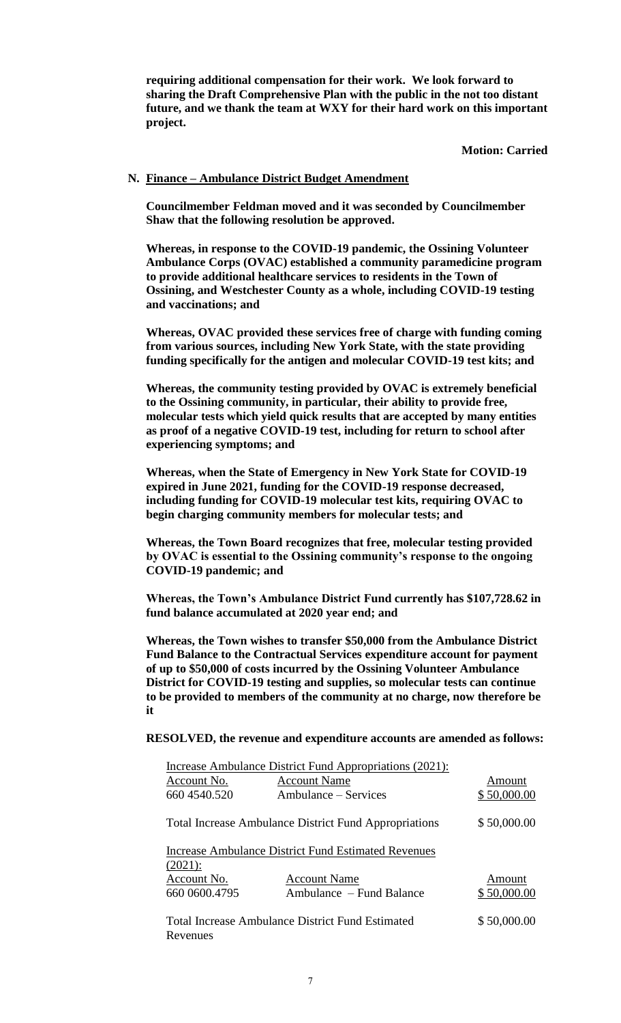**requiring additional compensation for their work. We look forward to sharing the Draft Comprehensive Plan with the public in the not too distant future, and we thank the team at WXY for their hard work on this important project.**

**Motion: Carried**

### **N. Finance – Ambulance District Budget Amendment**

**Councilmember Feldman moved and it was seconded by Councilmember Shaw that the following resolution be approved.**

**Whereas, in response to the COVID-19 pandemic, the Ossining Volunteer Ambulance Corps (OVAC) established a community paramedicine program to provide additional healthcare services to residents in the Town of Ossining, and Westchester County as a whole, including COVID-19 testing and vaccinations; and**

**Whereas, OVAC provided these services free of charge with funding coming from various sources, including New York State, with the state providing funding specifically for the antigen and molecular COVID-19 test kits; and** 

**Whereas, the community testing provided by OVAC is extremely beneficial to the Ossining community, in particular, their ability to provide free, molecular tests which yield quick results that are accepted by many entities as proof of a negative COVID-19 test, including for return to school after experiencing symptoms; and** 

**Whereas, when the State of Emergency in New York State for COVID-19 expired in June 2021, funding for the COVID-19 response decreased, including funding for COVID-19 molecular test kits, requiring OVAC to begin charging community members for molecular tests; and**

**Whereas, the Town Board recognizes that free, molecular testing provided by OVAC is essential to the Ossining community's response to the ongoing COVID-19 pandemic; and** 

**Whereas, the Town's Ambulance District Fund currently has \$107,728.62 in fund balance accumulated at 2020 year end; and**

**Whereas, the Town wishes to transfer \$50,000 from the Ambulance District Fund Balance to the Contractual Services expenditure account for payment of up to \$50,000 of costs incurred by the Ossining Volunteer Ambulance District for COVID-19 testing and supplies, so molecular tests can continue to be provided to members of the community at no charge, now therefore be it**

#### **RESOLVED, the revenue and expenditure accounts are amended as follows:**

| Increase Ambulance District Fund Appropriations (2021):                  |                          |             |
|--------------------------------------------------------------------------|--------------------------|-------------|
| Account No.                                                              | <b>Account Name</b>      | Amount      |
| 660 4540.520                                                             | Ambulance – Services     | \$50,000.00 |
| <b>Total Increase Ambulance District Fund Appropriations</b>             |                          | \$50,000.00 |
| <b>Increase Ambulance District Fund Estimated Revenues</b><br>$(2021)$ : |                          |             |
| Account No.                                                              | <b>Account Name</b>      | Amount      |
| 660 0600.4795                                                            | Ambulance – Fund Balance | \$50,000.00 |
| Total Increase Ambulance District Fund Estimated<br>Revenues             |                          | \$50,000.00 |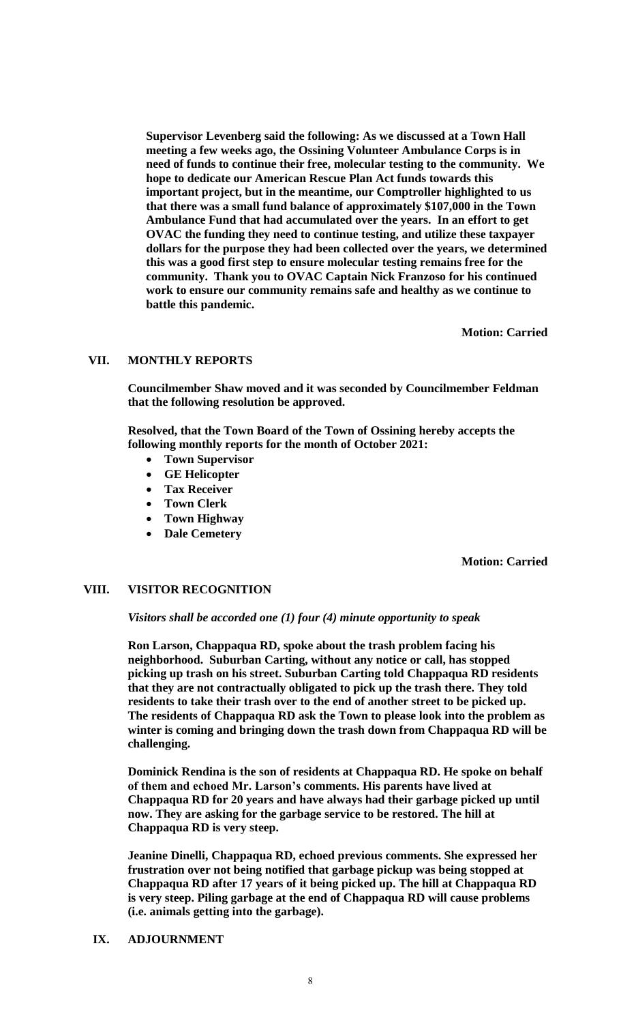**Supervisor Levenberg said the following: As we discussed at a Town Hall meeting a few weeks ago, the Ossining Volunteer Ambulance Corps is in need of funds to continue their free, molecular testing to the community. We hope to dedicate our American Rescue Plan Act funds towards this important project, but in the meantime, our Comptroller highlighted to us that there was a small fund balance of approximately \$107,000 in the Town Ambulance Fund that had accumulated over the years. In an effort to get OVAC the funding they need to continue testing, and utilize these taxpayer dollars for the purpose they had been collected over the years, we determined this was a good first step to ensure molecular testing remains free for the community. Thank you to OVAC Captain Nick Franzoso for his continued work to ensure our community remains safe and healthy as we continue to battle this pandemic.**

**Motion: Carried**

# **VII. MONTHLY REPORTS**

**Councilmember Shaw moved and it was seconded by Councilmember Feldman that the following resolution be approved.**

**Resolved, that the Town Board of the Town of Ossining hereby accepts the following monthly reports for the month of October 2021:**

- **Town Supervisor**
- **GE Helicopter**
- **Tax Receiver**
- **Town Clerk**
- **Town Highway**
- **Dale Cemetery**

**Motion: Carried**

### **VIII. VISITOR RECOGNITION**

### *Visitors shall be accorded one (1) four (4) minute opportunity to speak*

**Ron Larson, Chappaqua RD, spoke about the trash problem facing his neighborhood. Suburban Carting, without any notice or call, has stopped picking up trash on his street. Suburban Carting told Chappaqua RD residents that they are not contractually obligated to pick up the trash there. They told residents to take their trash over to the end of another street to be picked up. The residents of Chappaqua RD ask the Town to please look into the problem as winter is coming and bringing down the trash down from Chappaqua RD will be challenging.** 

**Dominick Rendina is the son of residents at Chappaqua RD. He spoke on behalf of them and echoed Mr. Larson's comments. His parents have lived at Chappaqua RD for 20 years and have always had their garbage picked up until now. They are asking for the garbage service to be restored. The hill at Chappaqua RD is very steep.** 

**Jeanine Dinelli, Chappaqua RD, echoed previous comments. She expressed her frustration over not being notified that garbage pickup was being stopped at Chappaqua RD after 17 years of it being picked up. The hill at Chappaqua RD is very steep. Piling garbage at the end of Chappaqua RD will cause problems (i.e. animals getting into the garbage).**

# **IX. ADJOURNMENT**